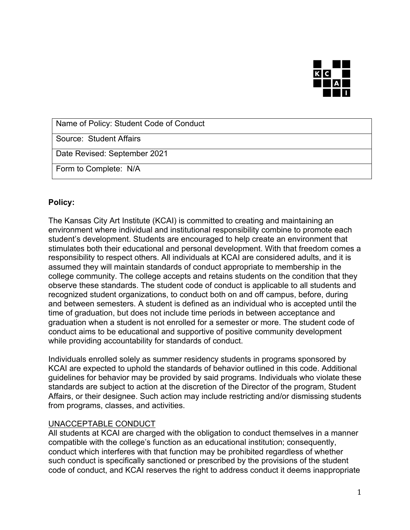

Name of Policy: Student Code of Conduct

Source: Student Affairs

Date Revised: September 2021

Form to Complete: N/A

## **Policy:**

The Kansas City Art Institute (KCAI) is committed to creating and maintaining an environment where individual and institutional responsibility combine to promote each student's development. Students are encouraged to help create an environment that stimulates both their educational and personal development. With that freedom comes a responsibility to respect others. All individuals at KCAI are considered adults, and it is assumed they will maintain standards of conduct appropriate to membership in the college community. The college accepts and retains students on the condition that they observe these standards. The student code of conduct is applicable to all students and recognized student organizations, to conduct both on and off campus, before, during and between semesters. A student is defined as an individual who is accepted until the time of graduation, but does not include time periods in between acceptance and graduation when a student is not enrolled for a semester or more. The student code of conduct aims to be educational and supportive of positive community development while providing accountability for standards of conduct.

Individuals enrolled solely as summer residency students in programs sponsored by KCAI are expected to uphold the standards of behavior outlined in this code. Additional guidelines for behavior may be provided by said programs. Individuals who violate these standards are subject to action at the discretion of the Director of the program, Student Affairs, or their designee. Such action may include restricting and/or dismissing students from programs, classes, and activities.

## UNACCEPTABLE CONDUCT

All students at KCAI are charged with the obligation to conduct themselves in a manner compatible with the college's function as an educational institution; consequently, conduct which interferes with that function may be prohibited regardless of whether such conduct is specifically sanctioned or prescribed by the provisions of the student code of conduct, and KCAI reserves the right to address conduct it deems inappropriate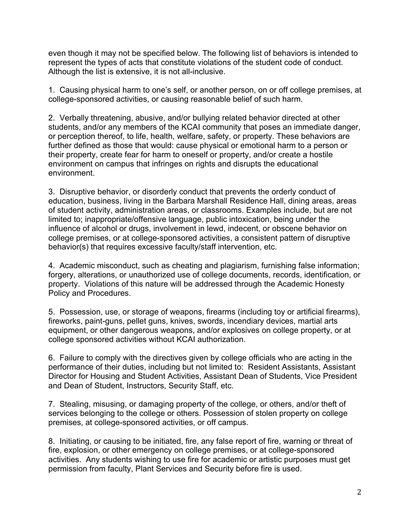even though it may not be specified below. The following list of behaviors is intended to represent the types of acts that constitute violations of the student code of conduct. Although the list is extensive, it is not all-inclusive.

1. Causing physical harm to one's self, or another person, on or off college premises, at college-sponsored activities, or causing reasonable belief of such harm.

2. Verbally threatening, abusive, and/or bullying related behavior directed at other students, and/or any members of the KCAI community that poses an immediate danger, or perception thereof, to life, health, welfare, safety, or property. These behaviors are further defined as those that would: cause physical or emotional harm to a person or their property, create fear for harm to oneself or property, and/or create a hostile environment on campus that infringes on rights and disrupts the educational environment.

3. Disruptive behavior, or disorderly conduct that prevents the orderly conduct of education, business, living in the Barbara Marshall Residence Hall, dining areas, areas of student activity, administration areas, or classrooms. Examples include, but are not limited to; inappropriate/offensive language, public intoxication, being under the influence of alcohol or drugs, involvement in lewd, indecent, or obscene behavior on college premises, or at college-sponsored activities, a consistent pattern of disruptive behavior(s) that requires excessive faculty/staff intervention, etc.

4. Academic misconduct, such as cheating and plagiarism, furnishing false information; forgery, alterations, or unauthorized use of college documents, records, identification, or property. Violations of this nature will be addressed through the Academic Honesty Policy and Procedures.

5. Possession, use, or storage of weapons, firearms (including toy or artificial firearms), fireworks, paint-guns, pellet guns, knives, swords, incendiary devices, martial arts equipment, or other dangerous weapons, and/or explosives on college property, or at college sponsored activities without KCAI authorization.

6. Failure to comply with the directives given by college officials who are acting in the performance of their duties, including but not limited to: Resident Assistants, Assistant Director for Housing and Student Activities, Assistant Dean of Students, Vice President and Dean of Student, Instructors, Security Staff, etc.

7. Stealing, misusing, or damaging property of the college, or others, and/or theft of services belonging to the college or others. Possession of stolen property on college premises, at college-sponsored activities, or off campus.

8. Initiating, or causing to be initiated, fire, any false report of fire, warning or threat of fire, explosion, or other emergency on college premises, or at college-sponsored activities. Any students wishing to use fire for academic or artistic purposes must get permission from faculty, Plant Services and Security before fire is used.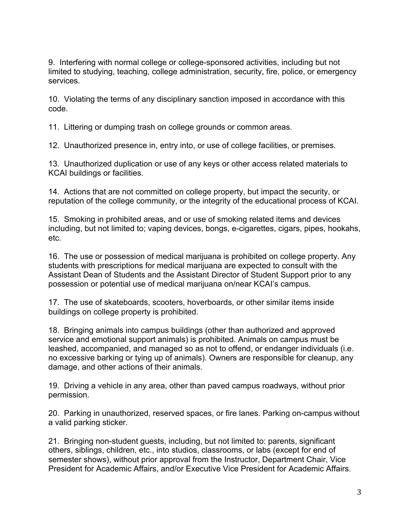9. Interfering with normal college or college-sponsored activities, including but not limited to studying, teaching, college administration, security, fire, police, or emergency services.

10. Violating the terms of any disciplinary sanction imposed in accordance with this code.

11. Littering or dumping trash on college grounds or common areas.

12. Unauthorized presence in, entry into, or use of college facilities, or premises.

13. Unauthorized duplication or use of any keys or other access related materials to KCAI buildings or facilities.

14. Actions that are not committed on college property, but impact the security, or reputation of the college community, or the integrity of the educational process of KCAI.

15. Smoking in prohibited areas, and or use of smoking related items and devices including, but not limited to; vaping devices, bongs, e-cigarettes, cigars, pipes, hookahs, etc.

16. The use or possession of medical marijuana is prohibited on college property. Any students with prescriptions for medical marijuana are expected to consult with the Assistant Dean of Students and the Assistant Director of Student Support prior to any possession or potential use of medical marijuana on/near KCAI's campus.

17. The use of skateboards, scooters, hoverboards, or other similar items inside buildings on college property is prohibited.

18. Bringing animals into campus buildings (other than authorized and approved service and emotional support animals) is prohibited. Animals on campus must be leashed, accompanied, and managed so as not to offend, or endanger individuals (i.e. no excessive barking or tying up of animals). Owners are responsible for cleanup, any damage, and other actions of their animals.

19. Driving a vehicle in any area, other than paved campus roadways, without prior permission.

20. Parking in unauthorized, reserved spaces, or fire lanes. Parking on-campus without a valid parking sticker.

21. Bringing non-student guests, including, but not limited to: parents, significant others, siblings, children, etc., into studios, classrooms, or labs (except for end of semester shows), without prior approval from the Instructor, Department Chair, Vice President for Academic Affairs, and/or Executive Vice President for Academic Affairs.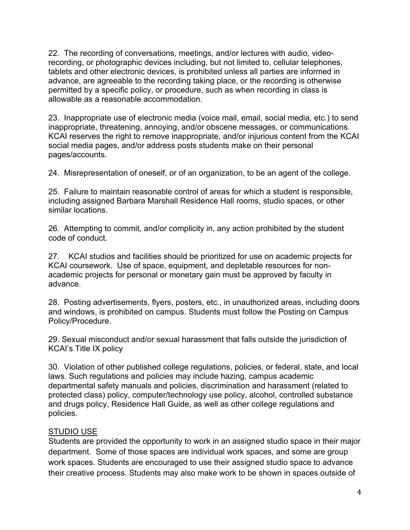22. The recording of conversations, meetings, and/or lectures with audio, videorecording, or photographic devices including, but not limited to, cellular telephones, tablets and other electronic devices, is prohibited unless all parties are informed in advance, are agreeable to the recording taking place, or the recording is otherwise permitted by a specific policy, or procedure, such as when recording in class is allowable as a reasonable accommodation.

23. Inappropriate use of electronic media (voice mail, email, social media, etc.) to send inappropriate, threatening, annoying, and/or obscene messages, or communications. KCAI reserves the right to remove inappropriate, and/or injurious content from the KCAI social media pages, and/or address posts students make on their personal pages/accounts.

24. Misrepresentation of oneself, or of an organization, to be an agent of the college.

25. Failure to maintain reasonable control of areas for which a student is responsible, including assigned Barbara Marshall Residence Hall rooms, studio spaces, or other similar locations.

26. Attempting to commit, and/or complicity in, any action prohibited by the student code of conduct.

27. KCAI studios and facilities should be prioritized for use on academic projects for KCAI coursework. Use of space, equipment, and depletable resources for nonacademic projects for personal or monetary gain must be approved by faculty in advance.

28. Posting advertisements, flyers, posters, etc., in unauthorized areas, including doors and windows, is prohibited on campus. Students must follow the Posting on Campus Policy/Procedure.

29. Sexual misconduct and/or sexual harassment that falls outside the jurisdiction of KCAI's Title IX policy

30. Violation of other published college regulations, policies, or federal, state, and local laws. Such regulations and policies may include hazing, campus academic departmental safety manuals and policies, discrimination and harassment (related to protected class) policy, computer/technology use policy, alcohol, controlled substance and drugs policy, Residence Hall Guide, as well as other college regulations and policies.

# STUDIO USE

Students are provided the opportunity to work in an assigned studio space in their major department. Some of those spaces are individual work spaces, and some are group work spaces. Students are encouraged to use their assigned studio space to advance their creative process. Students may also make work to be shown in spaces outside of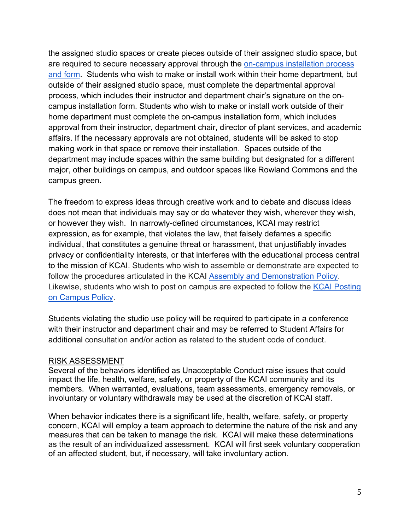the assigned studio spaces or create pieces outside of their assigned studio space, but are required to secure necessary approval through the on-campus installation process and form. Students who wish to make or install work within their home department, but outside of their assigned studio space, must complete the departmental approval process, which includes their instructor and department chair's signature on the oncampus installation form. Students who wish to make or install work outside of their home department must complete the on-campus installation form, which includes approval from their instructor, department chair, director of plant services, and academic affairs. If the necessary approvals are not obtained, students will be asked to stop making work in that space or remove their installation. Spaces outside of the department may include spaces within the same building but designated for a different major, other buildings on campus, and outdoor spaces like Rowland Commons and the campus green.

The freedom to express ideas through creative work and to debate and discuss ideas does not mean that individuals may say or do whatever they wish, wherever they wish, or however they wish. In narrowly-defined circumstances, KCAI may restrict expression, as for example, that violates the law, that falsely defames a specific individual, that constitutes a genuine threat or harassment, that unjustifiably invades privacy or confidentiality interests, or that interferes with the educational process central to the mission of KCAI. Students who wish to assemble or demonstrate are expected to follow the procedures articulated in the KCAI Assembly and Demonstration Policy. Likewise, students who wish to post on campus are expected to follow the KCAI Posting on Campus Policy.

Students violating the studio use policy will be required to participate in a conference with their instructor and department chair and may be referred to Student Affairs for additional consultation and/or action as related to the student code of conduct.

## RISK ASSESSMENT

Several of the behaviors identified as Unacceptable Conduct raise issues that could impact the life, health, welfare, safety, or property of the KCAI community and its members. When warranted, evaluations, team assessments, emergency removals, or involuntary or voluntary withdrawals may be used at the discretion of KCAI staff.

When behavior indicates there is a significant life, health, welfare, safety, or property concern, KCAI will employ a team approach to determine the nature of the risk and any measures that can be taken to manage the risk. KCAI will make these determinations as the result of an individualized assessment. KCAI will first seek voluntary cooperation of an affected student, but, if necessary, will take involuntary action.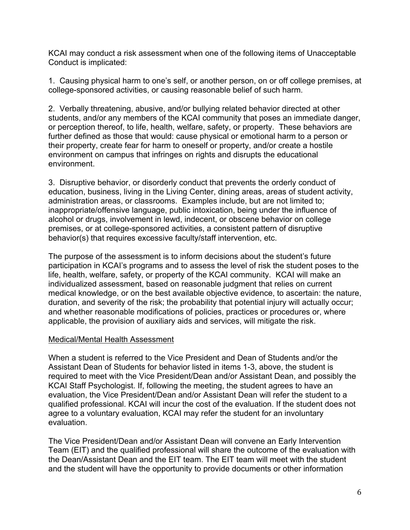KCAI may conduct a risk assessment when one of the following items of Unacceptable Conduct is implicated:

1. Causing physical harm to one's self, or another person, on or off college premises, at college-sponsored activities, or causing reasonable belief of such harm.

2. Verbally threatening, abusive, and/or bullying related behavior directed at other students, and/or any members of the KCAI community that poses an immediate danger, or perception thereof, to life, health, welfare, safety, or property. These behaviors are further defined as those that would: cause physical or emotional harm to a person or their property, create fear for harm to oneself or property, and/or create a hostile environment on campus that infringes on rights and disrupts the educational environment.

3. Disruptive behavior, or disorderly conduct that prevents the orderly conduct of education, business, living in the Living Center, dining areas, areas of student activity, administration areas, or classrooms. Examples include, but are not limited to; inappropriate/offensive language, public intoxication, being under the influence of alcohol or drugs, involvement in lewd, indecent, or obscene behavior on college premises, or at college-sponsored activities, a consistent pattern of disruptive behavior(s) that requires excessive faculty/staff intervention, etc.

The purpose of the assessment is to inform decisions about the student's future participation in KCAI's programs and to assess the level of risk the student poses to the life, health, welfare, safety, or property of the KCAI community. KCAI will make an individualized assessment, based on reasonable judgment that relies on current medical knowledge, or on the best available objective evidence, to ascertain: the nature, duration, and severity of the risk; the probability that potential injury will actually occur; and whether reasonable modifications of policies, practices or procedures or, where applicable, the provision of auxiliary aids and services, will mitigate the risk.

# Medical/Mental Health Assessment

When a student is referred to the Vice President and Dean of Students and/or the Assistant Dean of Students for behavior listed in items 1-3, above, the student is required to meet with the Vice President/Dean and/or Assistant Dean, and possibly the KCAI Staff Psychologist. If, following the meeting, the student agrees to have an evaluation, the Vice President/Dean and/or Assistant Dean will refer the student to a qualified professional. KCAI will incur the cost of the evaluation. If the student does not agree to a voluntary evaluation, KCAI may refer the student for an involuntary evaluation.

The Vice President/Dean and/or Assistant Dean will convene an Early Intervention Team (EIT) and the qualified professional will share the outcome of the evaluation with the Dean/Assistant Dean and the EIT team. The EIT team will meet with the student and the student will have the opportunity to provide documents or other information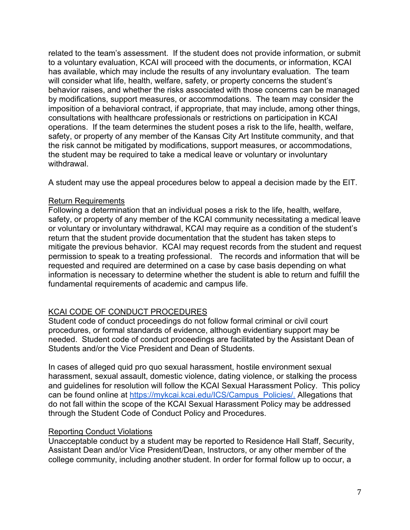related to the team's assessment. If the student does not provide information, or submit to a voluntary evaluation, KCAI will proceed with the documents, or information, KCAI has available, which may include the results of any involuntary evaluation. The team will consider what life, health, welfare, safety, or property concerns the student's behavior raises, and whether the risks associated with those concerns can be managed by modifications, support measures, or accommodations. The team may consider the imposition of a behavioral contract, if appropriate, that may include, among other things, consultations with healthcare professionals or restrictions on participation in KCAI operations. If the team determines the student poses a risk to the life, health, welfare, safety, or property of any member of the Kansas City Art Institute community, and that the risk cannot be mitigated by modifications, support measures, or accommodations, the student may be required to take a medical leave or voluntary or involuntary withdrawal.

A student may use the appeal procedures below to appeal a decision made by the EIT.

## Return Requirements

Following a determination that an individual poses a risk to the life, health, welfare, safety, or property of any member of the KCAI community necessitating a medical leave or voluntary or involuntary withdrawal, KCAI may require as a condition of the student's return that the student provide documentation that the student has taken steps to mitigate the previous behavior. KCAI may request records from the student and request permission to speak to a treating professional. The records and information that will be requested and required are determined on a case by case basis depending on what information is necessary to determine whether the student is able to return and fulfill the fundamental requirements of academic and campus life.

# KCAI CODE OF CONDUCT PROCEDURES

Student code of conduct proceedings do not follow formal criminal or civil court procedures, or formal standards of evidence, although evidentiary support may be needed. Student code of conduct proceedings are facilitated by the Assistant Dean of Students and/or the Vice President and Dean of Students.

In cases of alleged quid pro quo sexual harassment, hostile environment sexual harassment, sexual assault, domestic violence, dating violence, or stalking the process and guidelines for resolution will follow the KCAI Sexual Harassment Policy. This policy can be found online at https://mykcai.kcai.edu/ICS/Campus\_Policies/. Allegations that do not fall within the scope of the KCAI Sexual Harassment Policy may be addressed through the Student Code of Conduct Policy and Procedures.

# Reporting Conduct Violations

Unacceptable conduct by a student may be reported to Residence Hall Staff, Security, Assistant Dean and/or Vice President/Dean, Instructors, or any other member of the college community, including another student. In order for formal follow up to occur, a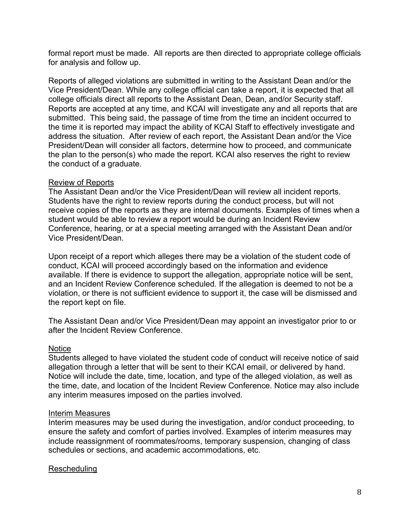formal report must be made. All reports are then directed to appropriate college officials for analysis and follow up.

Reports of alleged violations are submitted in writing to the Assistant Dean and/or the Vice President/Dean. While any college official can take a report, it is expected that all college officials direct all reports to the Assistant Dean, Dean, and/or Security staff. Reports are accepted at any time, and KCAI will investigate any and all reports that are submitted. This being said, the passage of time from the time an incident occurred to the time it is reported may impact the ability of KCAI Staff to effectively investigate and address the situation. After review of each report, the Assistant Dean and/or the Vice President/Dean will consider all factors, determine how to proceed, and communicate the plan to the person(s) who made the report. KCAI also reserves the right to review the conduct of a graduate.

## Review of Reports

The Assistant Dean and/or the Vice President/Dean will review all incident reports. Students have the right to review reports during the conduct process, but will not receive copies of the reports as they are internal documents. Examples of times when a student would be able to review a report would be during an Incident Review Conference, hearing, or at a special meeting arranged with the Assistant Dean and/or Vice President/Dean.

Upon receipt of a report which alleges there may be a violation of the student code of conduct, KCAI will proceed accordingly based on the information and evidence available. If there is evidence to support the allegation, appropriate notice will be sent, and an Incident Review Conference scheduled. If the allegation is deemed to not be a violation, or there is not sufficient evidence to support it, the case will be dismissed and the report kept on file.

The Assistant Dean and/or Vice President/Dean may appoint an investigator prior to or after the Incident Review Conference.

# **Notice**

Students alleged to have violated the student code of conduct will receive notice of said allegation through a letter that will be sent to their KCAI email, or delivered by hand. Notice will include the date, time, location, and type of the alleged violation, as well as the time, date, and location of the Incident Review Conference. Notice may also include any interim measures imposed on the parties involved.

## Interim Measures

Interim measures may be used during the investigation, and/or conduct proceeding, to ensure the safety and comfort of parties involved. Examples of interim measures may include reassignment of roommates/rooms, temporary suspension, changing of class schedules or sections, and academic accommodations, etc.

# Rescheduling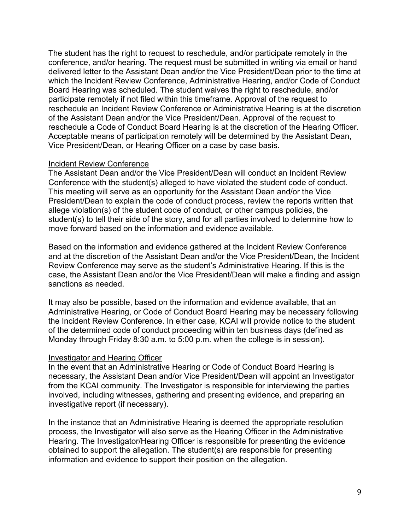The student has the right to request to reschedule, and/or participate remotely in the conference, and/or hearing. The request must be submitted in writing via email or hand delivered letter to the Assistant Dean and/or the Vice President/Dean prior to the time at which the Incident Review Conference, Administrative Hearing, and/or Code of Conduct Board Hearing was scheduled. The student waives the right to reschedule, and/or participate remotely if not filed within this timeframe. Approval of the request to reschedule an Incident Review Conference or Administrative Hearing is at the discretion of the Assistant Dean and/or the Vice President/Dean. Approval of the request to reschedule a Code of Conduct Board Hearing is at the discretion of the Hearing Officer. Acceptable means of participation remotely will be determined by the Assistant Dean, Vice President/Dean, or Hearing Officer on a case by case basis.

#### Incident Review Conference

The Assistant Dean and/or the Vice President/Dean will conduct an Incident Review Conference with the student(s) alleged to have violated the student code of conduct. This meeting will serve as an opportunity for the Assistant Dean and/or the Vice President/Dean to explain the code of conduct process, review the reports written that allege violation(s) of the student code of conduct, or other campus policies, the student(s) to tell their side of the story, and for all parties involved to determine how to move forward based on the information and evidence available.

Based on the information and evidence gathered at the Incident Review Conference and at the discretion of the Assistant Dean and/or the Vice President/Dean, the Incident Review Conference may serve as the student's Administrative Hearing. If this is the case, the Assistant Dean and/or the Vice President/Dean will make a finding and assign sanctions as needed.

It may also be possible, based on the information and evidence available, that an Administrative Hearing, or Code of Conduct Board Hearing may be necessary following the Incident Review Conference. In either case, KCAI will provide notice to the student of the determined code of conduct proceeding within ten business days (defined as Monday through Friday 8:30 a.m. to 5:00 p.m. when the college is in session).

## Investigator and Hearing Officer

In the event that an Administrative Hearing or Code of Conduct Board Hearing is necessary, the Assistant Dean and/or Vice President/Dean will appoint an Investigator from the KCAI community. The Investigator is responsible for interviewing the parties involved, including witnesses, gathering and presenting evidence, and preparing an investigative report (if necessary).

In the instance that an Administrative Hearing is deemed the appropriate resolution process, the Investigator will also serve as the Hearing Officer in the Administrative Hearing. The Investigator/Hearing Officer is responsible for presenting the evidence obtained to support the allegation. The student(s) are responsible for presenting information and evidence to support their position on the allegation.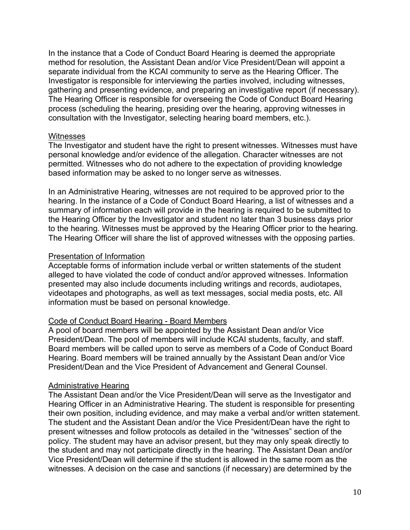In the instance that a Code of Conduct Board Hearing is deemed the appropriate method for resolution, the Assistant Dean and/or Vice President/Dean will appoint a separate individual from the KCAI community to serve as the Hearing Officer. The Investigator is responsible for interviewing the parties involved, including witnesses, gathering and presenting evidence, and preparing an investigative report (if necessary). The Hearing Officer is responsible for overseeing the Code of Conduct Board Hearing process (scheduling the hearing, presiding over the hearing, approving witnesses in consultation with the Investigator, selecting hearing board members, etc.).

#### **Witnesses**

The Investigator and student have the right to present witnesses. Witnesses must have personal knowledge and/or evidence of the allegation. Character witnesses are not permitted. Witnesses who do not adhere to the expectation of providing knowledge based information may be asked to no longer serve as witnesses.

In an Administrative Hearing, witnesses are not required to be approved prior to the hearing. In the instance of a Code of Conduct Board Hearing, a list of witnesses and a summary of information each will provide in the hearing is required to be submitted to the Hearing Officer by the Investigator and student no later than 3 business days prior to the hearing. Witnesses must be approved by the Hearing Officer prior to the hearing. The Hearing Officer will share the list of approved witnesses with the opposing parties.

#### Presentation of Information

Acceptable forms of information include verbal or written statements of the student alleged to have violated the code of conduct and/or approved witnesses. Information presented may also include documents including writings and records, audiotapes, videotapes and photographs, as well as text messages, social media posts, etc. All information must be based on personal knowledge.

## Code of Conduct Board Hearing - Board Members

A pool of board members will be appointed by the Assistant Dean and/or Vice President/Dean. The pool of members will include KCAI students, faculty, and staff. Board members will be called upon to serve as members of a Code of Conduct Board Hearing. Board members will be trained annually by the Assistant Dean and/or Vice President/Dean and the Vice President of Advancement and General Counsel.

## Administrative Hearing

The Assistant Dean and/or the Vice President/Dean will serve as the Investigator and Hearing Officer in an Administrative Hearing. The student is responsible for presenting their own position, including evidence, and may make a verbal and/or written statement. The student and the Assistant Dean and/or the Vice President/Dean have the right to present witnesses and follow protocols as detailed in the "witnesses" section of the policy. The student may have an advisor present, but they may only speak directly to the student and may not participate directly in the hearing. The Assistant Dean and/or Vice President/Dean will determine if the student is allowed in the same room as the witnesses. A decision on the case and sanctions (if necessary) are determined by the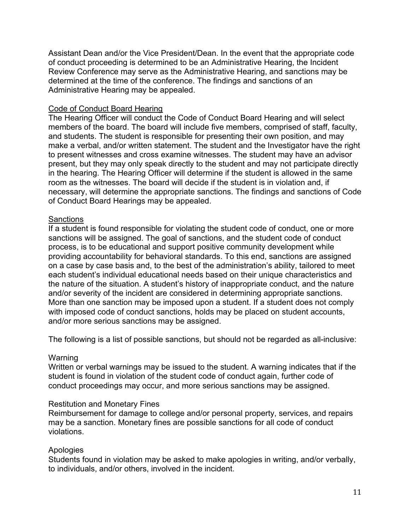Assistant Dean and/or the Vice President/Dean. In the event that the appropriate code of conduct proceeding is determined to be an Administrative Hearing, the Incident Review Conference may serve as the Administrative Hearing, and sanctions may be determined at the time of the conference. The findings and sanctions of an Administrative Hearing may be appealed.

## Code of Conduct Board Hearing

The Hearing Officer will conduct the Code of Conduct Board Hearing and will select members of the board. The board will include five members, comprised of staff, faculty, and students. The student is responsible for presenting their own position, and may make a verbal, and/or written statement. The student and the Investigator have the right to present witnesses and cross examine witnesses. The student may have an advisor present, but they may only speak directly to the student and may not participate directly in the hearing. The Hearing Officer will determine if the student is allowed in the same room as the witnesses. The board will decide if the student is in violation and, if necessary, will determine the appropriate sanctions. The findings and sanctions of Code of Conduct Board Hearings may be appealed.

#### **Sanctions**

If a student is found responsible for violating the student code of conduct, one or more sanctions will be assigned. The goal of sanctions, and the student code of conduct process, is to be educational and support positive community development while providing accountability for behavioral standards. To this end, sanctions are assigned on a case by case basis and, to the best of the administration's ability, tailored to meet each student's individual educational needs based on their unique characteristics and the nature of the situation. A student's history of inappropriate conduct, and the nature and/or severity of the incident are considered in determining appropriate sanctions. More than one sanction may be imposed upon a student. If a student does not comply with imposed code of conduct sanctions, holds may be placed on student accounts, and/or more serious sanctions may be assigned.

The following is a list of possible sanctions, but should not be regarded as all-inclusive:

#### Warning

Written or verbal warnings may be issued to the student. A warning indicates that if the student is found in violation of the student code of conduct again, further code of conduct proceedings may occur, and more serious sanctions may be assigned.

#### Restitution and Monetary Fines

Reimbursement for damage to college and/or personal property, services, and repairs may be a sanction. Monetary fines are possible sanctions for all code of conduct violations.

## Apologies

Students found in violation may be asked to make apologies in writing, and/or verbally, to individuals, and/or others, involved in the incident.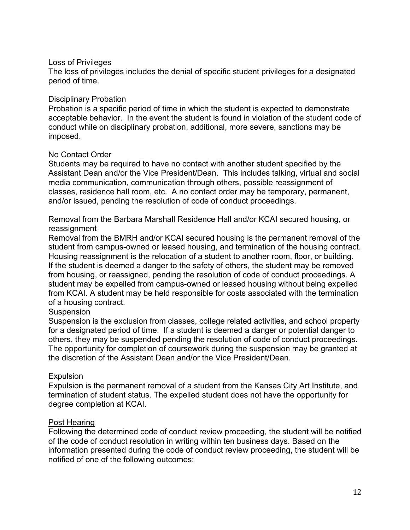## Loss of Privileges

The loss of privileges includes the denial of specific student privileges for a designated period of time.

#### Disciplinary Probation

Probation is a specific period of time in which the student is expected to demonstrate acceptable behavior. In the event the student is found in violation of the student code of conduct while on disciplinary probation, additional, more severe, sanctions may be imposed.

#### No Contact Order

Students may be required to have no contact with another student specified by the Assistant Dean and/or the Vice President/Dean. This includes talking, virtual and social media communication, communication through others, possible reassignment of classes, residence hall room, etc. A no contact order may be temporary, permanent, and/or issued, pending the resolution of code of conduct proceedings.

Removal from the Barbara Marshall Residence Hall and/or KCAI secured housing, or reassignment

Removal from the BMRH and/or KCAI secured housing is the permanent removal of the student from campus-owned or leased housing, and termination of the housing contract. Housing reassignment is the relocation of a student to another room, floor, or building. If the student is deemed a danger to the safety of others, the student may be removed from housing, or reassigned, pending the resolution of code of conduct proceedings. A student may be expelled from campus-owned or leased housing without being expelled from KCAI. A student may be held responsible for costs associated with the termination of a housing contract.

#### Suspension

Suspension is the exclusion from classes, college related activities, and school property for a designated period of time. If a student is deemed a danger or potential danger to others, they may be suspended pending the resolution of code of conduct proceedings. The opportunity for completion of coursework during the suspension may be granted at the discretion of the Assistant Dean and/or the Vice President/Dean.

## **Expulsion**

Expulsion is the permanent removal of a student from the Kansas City Art Institute, and termination of student status. The expelled student does not have the opportunity for degree completion at KCAI.

#### Post Hearing

Following the determined code of conduct review proceeding, the student will be notified of the code of conduct resolution in writing within ten business days. Based on the information presented during the code of conduct review proceeding, the student will be notified of one of the following outcomes: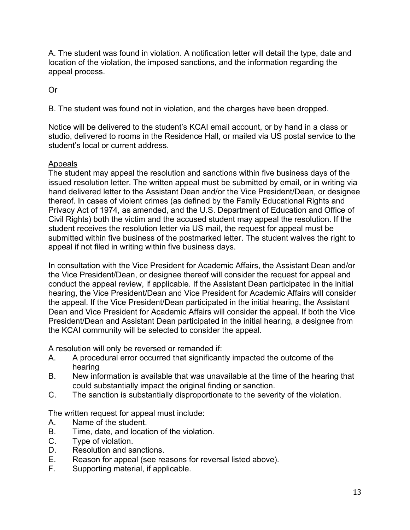A. The student was found in violation. A notification letter will detail the type, date and location of the violation, the imposed sanctions, and the information regarding the appeal process.

Or

B. The student was found not in violation, and the charges have been dropped.

Notice will be delivered to the student's KCAI email account, or by hand in a class or studio, delivered to rooms in the Residence Hall, or mailed via US postal service to the student's local or current address.

# Appeals

The student may appeal the resolution and sanctions within five business days of the issued resolution letter. The written appeal must be submitted by email, or in writing via hand delivered letter to the Assistant Dean and/or the Vice President/Dean, or designee thereof. In cases of violent crimes (as defined by the Family Educational Rights and Privacy Act of 1974, as amended, and the U.S. Department of Education and Office of Civil Rights) both the victim and the accused student may appeal the resolution. If the student receives the resolution letter via US mail, the request for appeal must be submitted within five business of the postmarked letter. The student waives the right to appeal if not filed in writing within five business days.

In consultation with the Vice President for Academic Affairs, the Assistant Dean and/or the Vice President/Dean, or designee thereof will consider the request for appeal and conduct the appeal review, if applicable. If the Assistant Dean participated in the initial hearing, the Vice President/Dean and Vice President for Academic Affairs will consider the appeal. If the Vice President/Dean participated in the initial hearing, the Assistant Dean and Vice President for Academic Affairs will consider the appeal. If both the Vice President/Dean and Assistant Dean participated in the initial hearing, a designee from the KCAI community will be selected to consider the appeal.

A resolution will only be reversed or remanded if:

- A. A procedural error occurred that significantly impacted the outcome of the hearing
- B. New information is available that was unavailable at the time of the hearing that could substantially impact the original finding or sanction.
- C. The sanction is substantially disproportionate to the severity of the violation.

The written request for appeal must include:

- A. Name of the student.
- B. Time, date, and location of the violation.
- C. Type of violation.
- D. Resolution and sanctions.
- E. Reason for appeal (see reasons for reversal listed above).
- F. Supporting material, if applicable.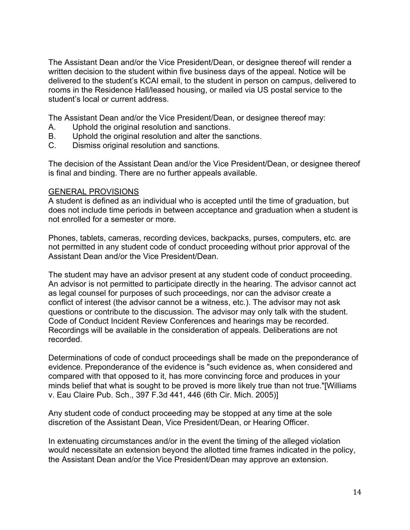The Assistant Dean and/or the Vice President/Dean, or designee thereof will render a written decision to the student within five business days of the appeal. Notice will be delivered to the student's KCAI email, to the student in person on campus, delivered to rooms in the Residence Hall/leased housing, or mailed via US postal service to the student's local or current address.

The Assistant Dean and/or the Vice President/Dean, or designee thereof may:

- A. Uphold the original resolution and sanctions.
- B. Uphold the original resolution and alter the sanctions.
- C. Dismiss original resolution and sanctions.

The decision of the Assistant Dean and/or the Vice President/Dean, or designee thereof is final and binding. There are no further appeals available.

#### GENERAL PROVISIONS

A student is defined as an individual who is accepted until the time of graduation, but does not include time periods in between acceptance and graduation when a student is not enrolled for a semester or more.

Phones, tablets, cameras, recording devices, backpacks, purses, computers, etc. are not permitted in any student code of conduct proceeding without prior approval of the Assistant Dean and/or the Vice President/Dean.

The student may have an advisor present at any student code of conduct proceeding. An advisor is not permitted to participate directly in the hearing. The advisor cannot act as legal counsel for purposes of such proceedings, nor can the advisor create a conflict of interest (the advisor cannot be a witness, etc.). The advisor may not ask questions or contribute to the discussion. The advisor may only talk with the student. Code of Conduct Incident Review Conferences and hearings may be recorded. Recordings will be available in the consideration of appeals. Deliberations are not recorded.

Determinations of code of conduct proceedings shall be made on the preponderance of evidence. Preponderance of the evidence is "such evidence as, when considered and compared with that opposed to it, has more convincing force and produces in your minds belief that what is sought to be proved is more likely true than not true."[Williams v. Eau Claire Pub. Sch., 397 F.3d 441, 446 (6th Cir. Mich. 2005)]

Any student code of conduct proceeding may be stopped at any time at the sole discretion of the Assistant Dean, Vice President/Dean, or Hearing Officer.

In extenuating circumstances and/or in the event the timing of the alleged violation would necessitate an extension beyond the allotted time frames indicated in the policy, the Assistant Dean and/or the Vice President/Dean may approve an extension.